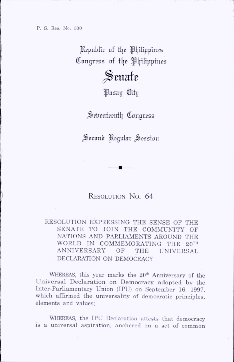P. S. Res. No. 500

Republic of the Philippines Congress of the Philippines

## $\mathcal S$ enate

Pasay City

Seventeenth Congress

Second Regular Session

## RESOLUTION No. 64

RESOLUTION EXPRESSING THE SENSE OF THE SENATE TO JOIN THE COMMUNITY OF NATIONS AND PARLIAMENTS AROUND THE WORLD IN COMMEMORATING THE 20TH ANNIVERSARY OF THE UNIVERSAL DECLARATION ON DEMOCRACY

WHEREAS, this year marks the 20<sup>th</sup> Anniversary of the Universal Declaration on Democracy adopted by the Inter-Parliamentary Union (IPU) on September 16, 1997. which affirmed the universality of democratic principles, elements and values:

WHEREAS, the IPU Declaration attests that democracy is a universal aspiration, anchored on a set of common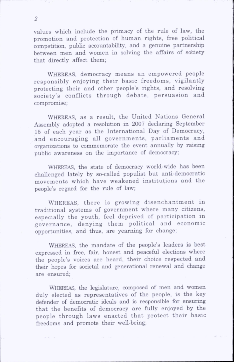values which include the primacy of the rule of law, the promotion and protection of human rights, free political competition, public accountability, and a genuine partnership between men and women in solving the affairs of society that directly affect them;

WHEREAS, democracy means an empowered people responsibly enjoying their basic freedoms, vigilantly protecting their and other people's rights, and resolving society's conflicts through debate, persuasion and compromise;

WHEREAS, as a result, the United Nations General Assembly adopted a resolution in 2007 declaring September 15 of each year as the International Day of Democracy, and encouraging all governments, parliaments and organizations to commemorate the event annually by raising public awareness on the importance of democracy;

WHEREAS, the state of democracy world-wide has been challenged lately by so-called populist but anti-dem ocratic movements which have weakened institutions and the people's regard for the rule of law;

WHEREAS, there is growing disenchantment in traditional systems of government where many citizens, especially the youth, feel deprived of participation in governance, denying them political and economic opportunities, and thus, are yearning for change;

WHEREAS, the mandate of the people's leaders is best expressed in free, fair, honest and peaceful elections where the people's voices are heard, their choice respected and their hopes for societal and generational renewal and change are ensured;

WHEREAS, the legislature, composed of men and women duly elected as representatives of the people, is the key defender of democratic ideals and is responsible for ensuring that the benefits of democracy are fully enjoyed by the people through laws enacted that protect their basic freedoms and promote their well-being;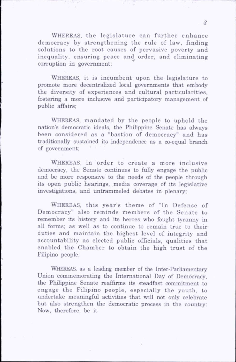WHEREAS, the legislature can further enhance democracy by strengthening the rule of law, finding solutions to the root causes of pervasive poverty and inequality, ensuring peace and order, and eliminating corruption in government;

WHEREAS, it is incumbent upon the legislature to promote more decentralized local governments that embody the diversity of experiences and cultural particularities, fostering a more inclusive and participatory management of public affairs:

WHEREAS, mandated by the people to uphold the nation's democratic ideals, the Phihppine Senate has always been considered as a "bastion of democracy" and has traditionally sustained its independence as a co-equal branch of government;

WHEREAS, in order to create a more inclusive democracy, the Senate continues to fully engage the public and be more responsive to the needs of the people through its open public hearings, media coverage of its legislative investigations, and untrammeled debates in plenary;

WHEREAS, this year's theme of "In Defense of Democracy" also rem inds members of the Senate to remember its history and its heroes who fought tyranny in all forms; as well as to continue to remain true to their duties and maintain the highest level of integrity and accountability as elected public officials, qualities that enabled the Chamber to obtain the high trust of the Fihpino people;

WHEREAS, as a leading member of the Inter-Parliamentary Union commemorating the International Day of Democracy, the Phihppine Senate reaffirms its steadfast commitment to engage the Filipino people, especially the youth, to undertake meaningful activities that will not only celebrate but also strengthen the democratic process in the country: Now, therefore, be it